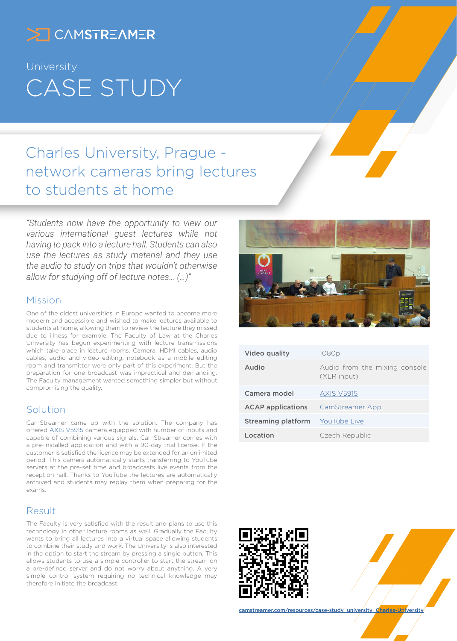

# University CASE STUDY

## Charles University, Prague network cameras bring lectures to students at home

*"Students now have the opportunity to view our various international guest lectures while not having to pack into a lecture hall. Students can also use the lectures as study material and they use the audio to study on trips that wouldn't otherwise allow for studying off of lecture notes… (…)"*

#### Mission

One of the oldest universities in Europe wanted to become more modern and accessible and wished to make lectures available to students at home, allowing them to review the lecture they missed due to illness for example. The Faculty of Law at the Charles University has begun experimenting with lecture transmissions which take place in lecture rooms. Camera, HDMI cables, audio cables, audio and video editing, notebook as a mobile editing room and transmitter were only part of this experiment. But the preparation for one broadcast was impractical and demanding. The Faculty management wanted something simpler but without compromising the quality.

#### Solution

CamStreamer came up with the solution. The company has offered [AXIS V5915](https://www.axis.com/products/axis-v5915) camera equipped with number of inputs and capable of combining various signals. CamStreamer comes with a pre-installed application and with a 90-day trial license. If the customer is satisfied the licence may be extended for an unlimited period. This camera automatically starts transferring to YouTube servers at the pre-set time and broadcasts live events from the reception hall. Thanks to YouTube the lectures are automatically archived and students may replay them when preparing for the exams.

### Result

The Faculty is very satisfied with the result and plans to use this technology in other lecture rooms as well. Gradually the Faculty wants to bring all lectures into a virtual space allowing students to combine their study and work. The University is also interested in the option to start the stream by pressing a single button. This allows students to use a simple controller to start the stream on a pre-defined server and do not worry about anything. A very simple control system requiring no technical knowledge may therefore initiate the broadcast.



| Video quality            | 1080 <sub>p</sub>                            |
|--------------------------|----------------------------------------------|
| Audio                    | Audio from the mixing console<br>(XLR input) |
| Camera model             | <b>AXIS V5915</b>                            |
| <b>ACAP</b> applications | CamStreamer App                              |
| Streaming platform       | YouTube Live                                 |
| Location                 | Czech Republic                               |
|                          |                                              |





[camstreamer.com/resources/c](https://camstreamer.com/resources/case-study_university_Charles-University)ase-study\_university\_Charles-University